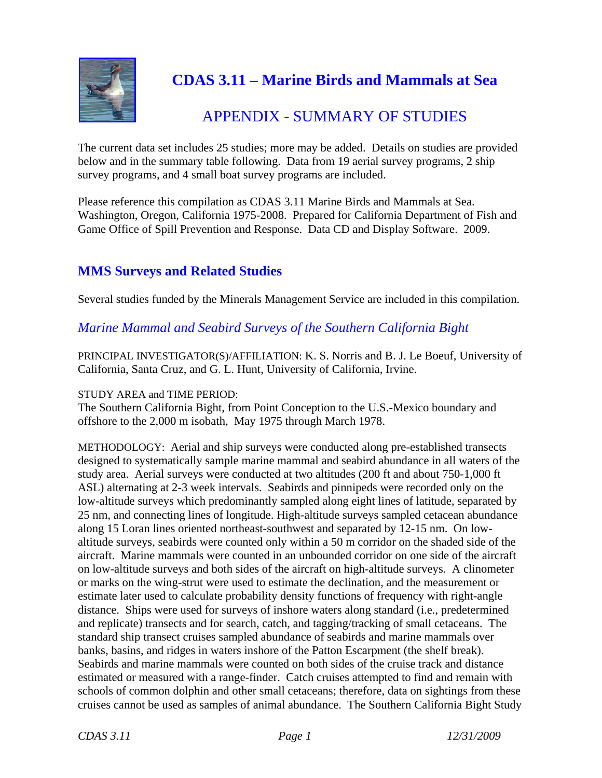

# **CDAS 3.11 – Marine Birds and Mammals at Sea**

# APPENDIX - SUMMARY OF STUDIES

The current data set includes 25 studies; more may be added. Details on studies are provided below and in the summary table following. Data from 19 aerial survey programs, 2 ship survey programs, and 4 small boat survey programs are included.

Please reference this compilation as CDAS 3.11 Marine Birds and Mammals at Sea. Washington, Oregon, California 1975-2008. Prepared for California Department of Fish and Game Office of Spill Prevention and Response. Data CD and Display Software. 2009.

# **MMS Surveys and Related Studies**

Several studies funded by the Minerals Management Service are included in this compilation.

*Marine Mammal and Seabird Surveys of the Southern California Bight* 

PRINCIPAL INVESTIGATOR(S)/AFFILIATION: K. S. Norris and B. J. Le Boeuf, University of California, Santa Cruz, and G. L. Hunt, University of California, Irvine.

## STUDY AREA and TIME PERIOD:

The Southern California Bight, from Point Conception to the U.S.-Mexico boundary and offshore to the 2,000 m isobath, May 1975 through March 1978.

METHODOLOGY: Aerial and ship surveys were conducted along pre-established transects designed to systematically sample marine mammal and seabird abundance in all waters of the study area. Aerial surveys were conducted at two altitudes (200 ft and about 750-1,000 ft ASL) alternating at 2-3 week intervals. Seabirds and pinnipeds were recorded only on the low-altitude surveys which predominantly sampled along eight lines of latitude, separated by 25 nm, and connecting lines of longitude. High-altitude surveys sampled cetacean abundance along 15 Loran lines oriented northeast-southwest and separated by 12-15 nm. On lowaltitude surveys, seabirds were counted only within a 50 m corridor on the shaded side of the aircraft. Marine mammals were counted in an unbounded corridor on one side of the aircraft on low-altitude surveys and both sides of the aircraft on high-altitude surveys. A clinometer or marks on the wing-strut were used to estimate the declination, and the measurement or estimate later used to calculate probability density functions of frequency with right-angle distance. Ships were used for surveys of inshore waters along standard (i.e., predetermined and replicate) transects and for search, catch, and tagging/tracking of small cetaceans. The standard ship transect cruises sampled abundance of seabirds and marine mammals over banks, basins, and ridges in waters inshore of the Patton Escarpment (the shelf break). Seabirds and marine mammals were counted on both sides of the cruise track and distance estimated or measured with a range-finder. Catch cruises attempted to find and remain with schools of common dolphin and other small cetaceans; therefore, data on sightings from these cruises cannot be used as samples of animal abundance. The Southern California Bight Study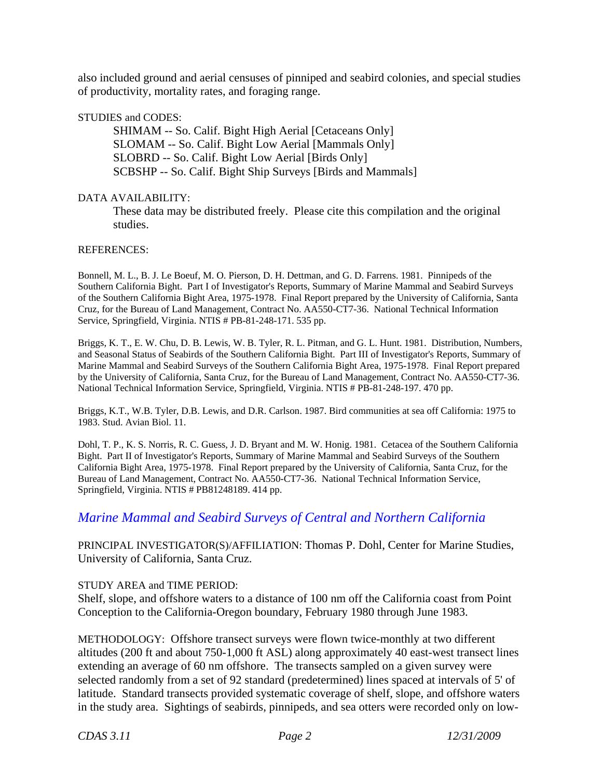also included ground and aerial censuses of pinniped and seabird colonies, and special studies of productivity, mortality rates, and foraging range.

#### STUDIES and CODES:

SHIMAM -- So. Calif. Bight High Aerial [Cetaceans Only] SLOMAM -- So. Calif. Bight Low Aerial [Mammals Only] SLOBRD -- So. Calif. Bight Low Aerial [Birds Only] SCBSHP -- So. Calif. Bight Ship Surveys [Birds and Mammals]

#### DATA AVAILABILITY:

These data may be distributed freely. Please cite this compilation and the original studies.

#### REFERENCES:

 Bonnell, M. L., B. J. Le Boeuf, M. O. Pierson, D. H. Dettman, and G. D. Farrens. 1981. Pinnipeds of the Southern California Bight. Part I of Investigator's Reports, Summary of Marine Mammal and Seabird Surveys of the Southern California Bight Area, 1975-1978. Final Report prepared by the University of California, Santa Cruz, for the Bureau of Land Management, Contract No. AA550-CT7-36. National Technical Information Service, Springfield, Virginia. NTIS # PB-81-248-171. 535 pp.

 Briggs, K. T., E. W. Chu, D. B. Lewis, W. B. Tyler, R. L. Pitman, and G. L. Hunt. 1981. Distribution, Numbers, Marine Mammal and Seabird Surveys of the Southern California Bight Area, 1975-1978. Final Report prepared by the University of California, Santa Cruz, for the Bureau of Land Management, Contract No. AA550-CT7-36. National Technical Information Service, Springfield, Virginia. NTIS # PB-81-248-197. 470 pp. and Seasonal Status of Seabirds of the Southern California Bight. Part III of Investigator's Reports, Summary of

Briggs, K.T., W.B. Tyler, D.B. Lewis, and D.R. Carlson. 1987. Bird communities at sea off California: 1975 to 1983. Stud. Avian Biol. 11.

 Bight. Part II of Investigator's Reports, Summary of Marine Mammal and Seabird Surveys of the Southern California Bight Area, 1975-1978. Final Report prepared by the University of California, Santa Cruz, for the Dohl, T. P., K. S. Norris, R. C. Guess, J. D. Bryant and M. W. Honig. 1981. Cetacea of the Southern California Bureau of Land Management, Contract No. AA550-CT7-36. National Technical Information Service, Springfield, Virginia. NTIS # PB81248189. 414 pp.

# *Marine Mammal and Seabird Surveys of Central and Northern California*

PRINCIPAL INVESTIGATOR(S)/AFFILIATION: Thomas P. Dohl, Center for Marine Studies, University of California, Santa Cruz.

### STUDY AREA and TIME PERIOD:

Shelf, slope, and offshore waters to a distance of 100 nm off the California coast from Point Conception to the California-Oregon boundary, February 1980 through June 1983.

METHODOLOGY: Offshore transect surveys were flown twice-monthly at two different altitudes (200 ft and about 750-1,000 ft ASL) along approximately 40 east-west transect lines extending an average of 60 nm offshore. The transects sampled on a given survey were selected randomly from a set of 92 standard (predetermined) lines spaced at intervals of 5' of latitude. Standard transects provided systematic coverage of shelf, slope, and offshore waters in the study area. Sightings of seabirds, pinnipeds, and sea otters were recorded only on low-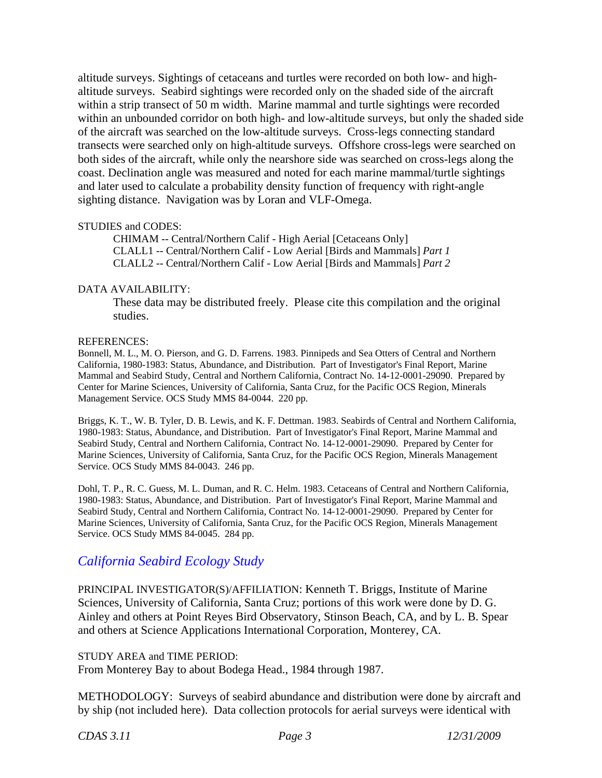sighting distance. Navigation was by Loran and VLF-Omega. STUDIES and CODES: altitude surveys. Sightings of cetaceans and turtles were recorded on both low- and highaltitude surveys. Seabird sightings were recorded only on the shaded side of the aircraft within a strip transect of 50 m width. Marine mammal and turtle sightings were recorded within an unbounded corridor on both high- and low-altitude surveys, but only the shaded side of the aircraft was searched on the low-altitude surveys. Cross-legs connecting standard transects were searched only on high-altitude surveys. Offshore cross-legs were searched on both sides of the aircraft, while only the nearshore side was searched on cross-legs along the coast. Declination angle was measured and noted for each marine mammal/turtle sightings and later used to calculate a probability density function of frequency with right-angle

CHIMAM -- Central/Northern Calif - High Aerial [Cetaceans Only] CLALL1 -- Central/Northern Calif - Low Aerial [Birds and Mammals] *Part 1*  CLALL2 -- Central/Northern Calif - Low Aerial [Birds and Mammals] *Part 2* 

#### DATA AVAILABILITY:

These data may be distributed freely. Please cite this compilation and the original studies.

#### REFERENCES:

 Mammal and Seabird Study, Central and Northern California, Contract No. 14-12-0001-29090. Prepared by Management Service. OCS Study MMS 84-0044. 220 pp. Bonnell, M. L., M. O. Pierson, and G. D. Farrens. 1983. Pinnipeds and Sea Otters of Central and Northern California, 1980-1983: Status, Abundance, and Distribution. Part of Investigator's Final Report, Marine Center for Marine Sciences, University of California, Santa Cruz, for the Pacific OCS Region, Minerals

 1980-1983: Status, Abundance, and Distribution. Part of Investigator's Final Report, Marine Mammal and Service. OCS Study MMS 84-0043. 246 pp. Briggs, K. T., W. B. Tyler, D. B. Lewis, and K. F. Dettman. 1983. Seabirds of Central and Northern California, Seabird Study, Central and Northern California, Contract No. 14-12-0001-29090. Prepared by Center for Marine Sciences, University of California, Santa Cruz, for the Pacific OCS Region, Minerals Management

 1980-1983: Status, Abundance, and Distribution. Part of Investigator's Final Report, Marine Mammal and Service. OCS Study MMS 84-0045. 284 pp. Dohl, T. P., R. C. Guess, M. L. Duman, and R. C. Helm. 1983. Cetaceans of Central and Northern California, Seabird Study, Central and Northern California, Contract No. 14-12-0001-29090. Prepared by Center for Marine Sciences, University of California, Santa Cruz, for the Pacific OCS Region, Minerals Management

# *California Seabird Ecology Study*

PRINCIPAL INVESTIGATOR(S)/AFFILIATION: Kenneth T. Briggs, Institute of Marine Sciences, University of California, Santa Cruz; portions of this work were done by D. G. Ainley and others at Point Reyes Bird Observatory, Stinson Beach, CA, and by L. B. Spear and others at Science Applications International Corporation, Monterey, CA.

#### STUDY AREA and TIME PERIOD:

From Monterey Bay to about Bodega Head., 1984 through 1987.

METHODOLOGY: Surveys of seabird abundance and distribution were done by aircraft and by ship (not included here). Data collection protocols for aerial surveys were identical with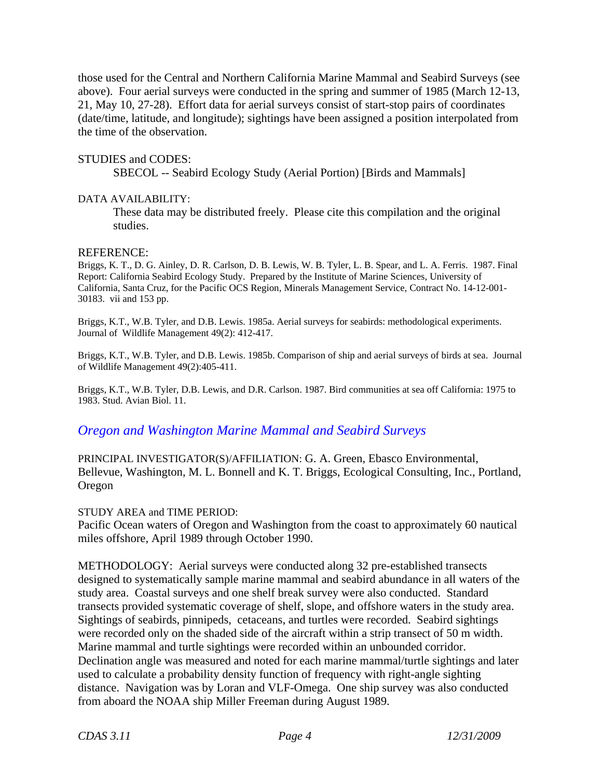those used for the Central and Northern California Marine Mammal and Seabird Surveys (see above). Four aerial surveys were conducted in the spring and summer of 1985 (March 12-13, 21, May 10, 27-28). Effort data for aerial surveys consist of start-stop pairs of coordinates (date/time, latitude, and longitude); sightings have been assigned a position interpolated from the time of the observation.

#### STUDIES and CODES:

SBECOL -- Seabird Ecology Study (Aerial Portion) [Birds and Mammals]

#### DATA AVAILABILITY:

These data may be distributed freely. Please cite this compilation and the original studies.

#### REFERENCE:

Briggs, K. T., D. G. Ainley, D. R. Carlson, D. B. Lewis, W. B. Tyler, L. B. Spear, and L. A. Ferris. 1987. Final Report: California Seabird Ecology Study. Prepared by the Institute of Marine Sciences, University of California, Santa Cruz, for the Pacific OCS Region, Minerals Management Service, Contract No. 14-12-001 30183. vii and 153 pp.

 Journal of Wildlife Management 49(2): 412-417. Briggs, K.T., W.B. Tyler, and D.B. Lewis. 1985a. Aerial surveys for seabirds: methodological experiments.

Briggs, K.T., W.B. Tyler, and D.B. Lewis. 1985b. Comparison of ship and aerial surveys of birds at sea. Journal of Wildlife Management 49(2):405-411.

Briggs, K.T., W.B. Tyler, D.B. Lewis, and D.R. Carlson. 1987. Bird communities at sea off California: 1975 to 1983. Stud. Avian Biol. 11.

## *Oregon and Washington Marine Mammal and Seabird Surveys*

PRINCIPAL INVESTIGATOR(S)/AFFILIATION: G. A. Green, Ebasco Environmental, Bellevue, Washington, M. L. Bonnell and K. T. Briggs, Ecological Consulting, Inc., Portland, Oregon

#### STUDY AREA and TIME PERIOD:

Pacific Ocean waters of Oregon and Washington from the coast to approximately 60 nautical miles offshore, April 1989 through October 1990.

METHODOLOGY: Aerial surveys were conducted along 32 pre-established transects designed to systematically sample marine mammal and seabird abundance in all waters of the study area. Coastal surveys and one shelf break survey were also conducted. Standard transects provided systematic coverage of shelf, slope, and offshore waters in the study area. Sightings of seabirds, pinnipeds, cetaceans, and turtles were recorded. Seabird sightings were recorded only on the shaded side of the aircraft within a strip transect of 50 m width. Marine mammal and turtle sightings were recorded within an unbounded corridor. Declination angle was measured and noted for each marine mammal/turtle sightings and later used to calculate a probability density function of frequency with right-angle sighting distance. Navigation was by Loran and VLF-Omega. One ship survey was also conducted from aboard the NOAA ship Miller Freeman during August 1989.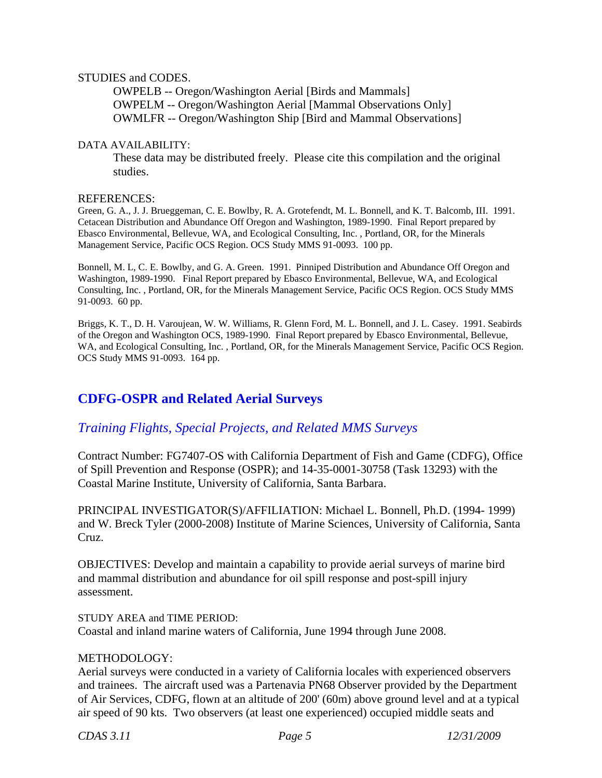#### STUDIES and CODES.

OWPELB -- Oregon/Washington Aerial [Birds and Mammals] OWPELM -- Oregon/Washington Aerial [Mammal Observations Only] OWMLFR -- Oregon/Washington Ship [Bird and Mammal Observations]

#### DATA AVAILABILITY:

These data may be distributed freely. Please cite this compilation and the original studies.

#### REFERENCES:

 Green, G. A., J. J. Brueggeman, C. E. Bowlby, R. A. Grotefendt, M. L. Bonnell, and K. T. Balcomb, III. 1991. Management Service, Pacific OCS Region. OCS Study MMS 91-0093. 100 pp. Cetacean Distribution and Abundance Off Oregon and Washington, 1989-1990. Final Report prepared by Ebasco Environmental, Bellevue, WA, and Ecological Consulting, Inc. , Portland, OR, for the Minerals

 Bonnell, M. L, C. E. Bowlby, and G. A. Green. 1991. Pinniped Distribution and Abundance Off Oregon and Washington, 1989-1990. Final Report prepared by Ebasco Environmental, Bellevue, WA, and Ecological Consulting, Inc. , Portland, OR, for the Minerals Management Service, Pacific OCS Region. OCS Study MMS 91-0093. 60 pp.

 of the Oregon and Washington OCS, 1989-1990. Final Report prepared by Ebasco Environmental, Bellevue, OCS Study MMS 91-0093. 164 pp. Briggs, K. T., D. H. Varoujean, W. W. Williams, R. Glenn Ford, M. L. Bonnell, and J. L. Casey. 1991. Seabirds WA, and Ecological Consulting, Inc. , Portland, OR, for the Minerals Management Service, Pacific OCS Region.

# **CDFG-OSPR and Related Aerial Surveys**

# *Training Flights, Special Projects, and Related MMS Surveys*

Contract Number: FG7407-OS with California Department of Fish and Game (CDFG), Office of Spill Prevention and Response (OSPR); and 14-35-0001-30758 (Task 13293) with the Coastal Marine Institute, University of California, Santa Barbara.

PRINCIPAL INVESTIGATOR(S)/AFFILIATION: Michael L. Bonnell, Ph.D. (1994- 1999) and W. Breck Tyler (2000-2008) Institute of Marine Sciences, University of California, Santa Cruz.

OBJECTIVES: Develop and maintain a capability to provide aerial surveys of marine bird and mammal distribution and abundance for oil spill response and post-spill injury assessment.

STUDY AREA and TIME PERIOD: Coastal and inland marine waters of California, June 1994 through June 2008.

### METHODOLOGY:

Aerial surveys were conducted in a variety of California locales with experienced observers and trainees. The aircraft used was a Partenavia PN68 Observer provided by the Department of Air Services, CDFG, flown at an altitude of 200' (60m) above ground level and at a typical air speed of 90 kts. Two observers (at least one experienced) occupied middle seats and

*CDAS 3.11 Page 5 12/31/2009*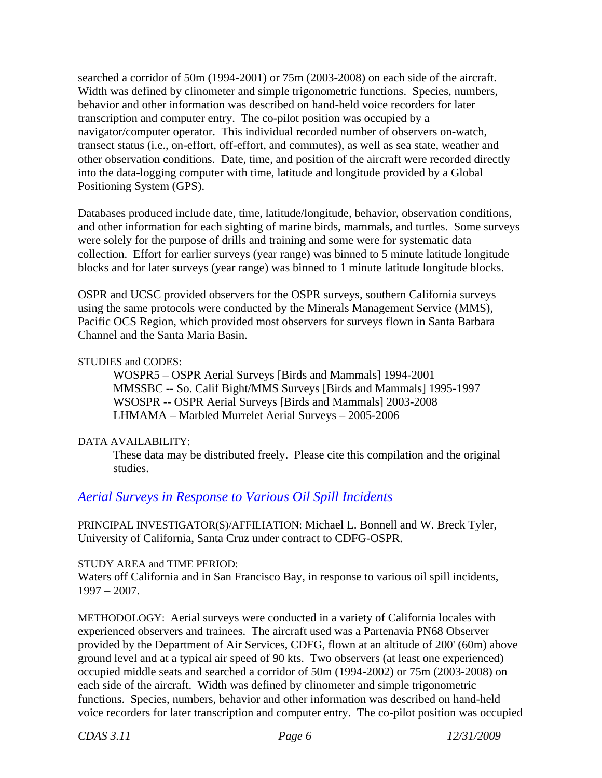searched a corridor of 50m (1994-2001) or 75m (2003-2008) on each side of the aircraft. Width was defined by clinometer and simple trigonometric functions. Species, numbers, behavior and other information was described on hand-held voice recorders for later transcription and computer entry. The co-pilot position was occupied by a navigator/computer operator. This individual recorded number of observers on-watch, transect status (i.e., on-effort, off-effort, and commutes), as well as sea state, weather and other observation conditions. Date, time, and position of the aircraft were recorded directly into the data-logging computer with time, latitude and longitude provided by a Global Positioning System (GPS).

Databases produced include date, time, latitude/longitude, behavior, observation conditions, and other information for each sighting of marine birds, mammals, and turtles. Some surveys were solely for the purpose of drills and training and some were for systematic data collection. Effort for earlier surveys (year range) was binned to 5 minute latitude longitude blocks and for later surveys (year range) was binned to 1 minute latitude longitude blocks.

OSPR and UCSC provided observers for the OSPR surveys, southern California surveys using the same protocols were conducted by the Minerals Management Service (MMS), Pacific OCS Region, which provided most observers for surveys flown in Santa Barbara Channel and the Santa Maria Basin.

### STUDIES and CODES:

WOSPR5 – OSPR Aerial Surveys [Birds and Mammals] 1994-2001 MMSSBC -- So. Calif Bight/MMS Surveys [Birds and Mammals] 1995-1997 WSOSPR -- OSPR Aerial Surveys [Birds and Mammals] 2003-2008 LHMAMA – Marbled Murrelet Aerial Surveys – 2005-2006

### DATA AVAILABILITY:

These data may be distributed freely. Please cite this compilation and the original studies.

# *Aerial Surveys in Response to Various Oil Spill Incidents*

PRINCIPAL INVESTIGATOR(S)/AFFILIATION: Michael L. Bonnell and W. Breck Tyler, University of California, Santa Cruz under contract to CDFG-OSPR.

### STUDY AREA and TIME PERIOD:

Waters off California and in San Francisco Bay, in response to various oil spill incidents, 1997 – 2007.

METHODOLOGY: Aerial surveys were conducted in a variety of California locales with experienced observers and trainees. The aircraft used was a Partenavia PN68 Observer provided by the Department of Air Services, CDFG, flown at an altitude of 200' (60m) above ground level and at a typical air speed of 90 kts. Two observers (at least one experienced) occupied middle seats and searched a corridor of 50m (1994-2002) or 75m (2003-2008) on each side of the aircraft. Width was defined by clinometer and simple trigonometric functions. Species, numbers, behavior and other information was described on hand-held voice recorders for later transcription and computer entry. The co-pilot position was occupied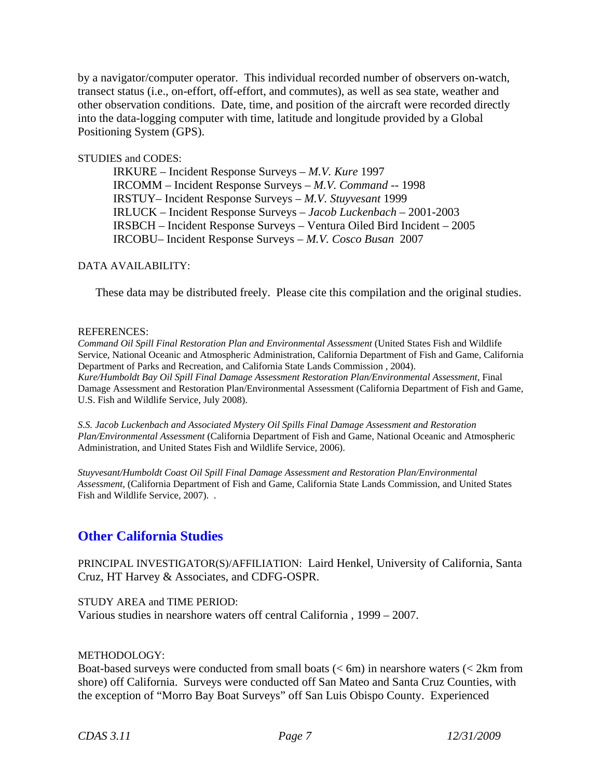by a navigator/computer operator. This individual recorded number of observers on-watch, transect status (i.e., on-effort, off-effort, and commutes), as well as sea state, weather and other observation conditions. Date, time, and position of the aircraft were recorded directly into the data-logging computer with time, latitude and longitude provided by a Global Positioning System (GPS).

#### STUDIES and CODES:

IRKURE – Incident Response Surveys – *M.V. Kure* 1997 IRCOMM – Incident Response Surveys – *M.V. Command* -- 1998 IRSTUY– Incident Response Surveys – *M.V. Stuyvesant* 1999 IRLUCK – Incident Response Surveys – *Jacob Luckenbach –* 2001-2003 IRSBCH – Incident Response Surveys – Ventura Oiled Bird Incident – 2005 IRCOBU– Incident Response Surveys – *M.V. Cosco Busan* 2007

#### DATA AVAILABILITY:

These data may be distributed freely. Please cite this compilation and the original studies.

#### REFERENCES:

 *Kure/Humboldt Bay Oil Spill Final Damage Assessment Restoration Plan/Environmental Assessment*, Final *Command Oil Spill Final Restoration Plan and Environmental Assessment* (United States Fish and Wildlife Service, National Oceanic and Atmospheric Administration, California Department of Fish and Game, California Department of Parks and Recreation, and California State Lands Commission , 2004). Damage Assessment and Restoration Plan/Environmental Assessment (California Department of Fish and Game, U.S. Fish and Wildlife Service, July 2008).

 *S.S. Jacob Luckenbach and Associated Mystery Oil Spills Final Damage Assessment and Restoration Plan/Environmental Assessment* (California Department of Fish and Game, National Oceanic and Atmospheric Administration, and United States Fish and Wildlife Service, 2006).

*Stuyvesant/Humboldt Coast Oil Spill Final Damage Assessment and Restoration Plan/Environmental Assessment*, (California Department of Fish and Game, California State Lands Commission, and United States Fish and Wildlife Service, 2007). .

# **Other California Studies**

PRINCIPAL INVESTIGATOR(S)/AFFILIATION: Laird Henkel, University of California, Santa Cruz, HT Harvey & Associates, and CDFG-OSPR.

STUDY AREA and TIME PERIOD: Various studies in nearshore waters off central California , 1999 – 2007.

#### METHODOLOGY:

Boat-based surveys were conducted from small boats  $(< 6m)$  in nearshore waters  $(< 2km$  from shore) off California. Surveys were conducted off San Mateo and Santa Cruz Counties, with the exception of "Morro Bay Boat Surveys" off San Luis Obispo County. Experienced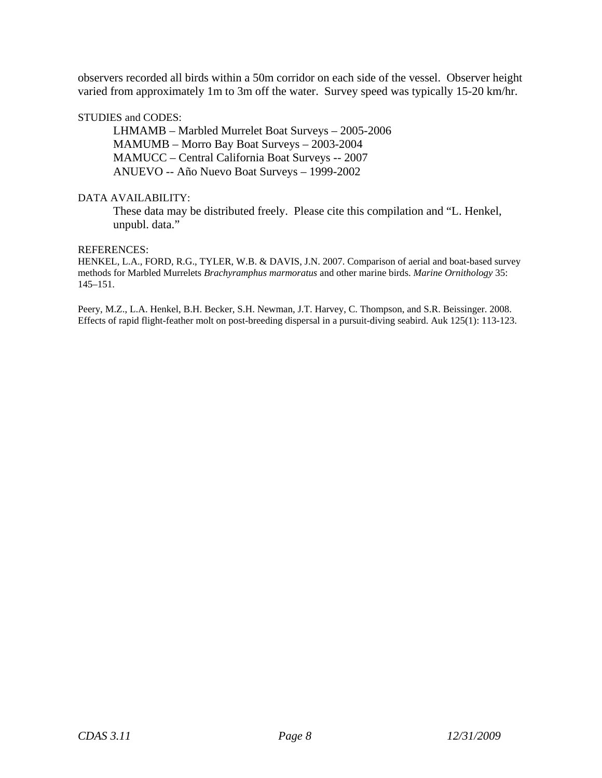observers recorded all birds within a 50m corridor on each side of the vessel. Observer height varied from approximately 1m to 3m off the water. Survey speed was typically 15-20 km/hr.

#### STUDIES and CODES:

LHMAMB – Marbled Murrelet Boat Surveys – 2005-2006 MAMUMB – Morro Bay Boat Surveys – 2003-2004 MAMUCC – Central California Boat Surveys -- 2007 ANUEVO -- Año Nuevo Boat Surveys – 1999-2002

#### DATA AVAILABILITY:

These data may be distributed freely. Please cite this compilation and "L. Henkel, unpubl. data."

#### REFERENCES:

HENKEL, L.A., FORD, R.G., TYLER, W.B. & DAVIS, J.N. 2007. Comparison of aerial and boat-based survey methods for Marbled Murrelets *Brachyramphus marmoratus* and other marine birds. *Marine Ornithology* 35: 145–151.

 Effects of rapid flight-feather molt on post-breeding dispersal in a pursuit-diving seabird. Auk 125(1): 113-123. Peery, M.Z., L.A. Henkel, B.H. Becker, S.H. Newman, J.T. Harvey, C. Thompson, and S.R. Beissinger. 2008.